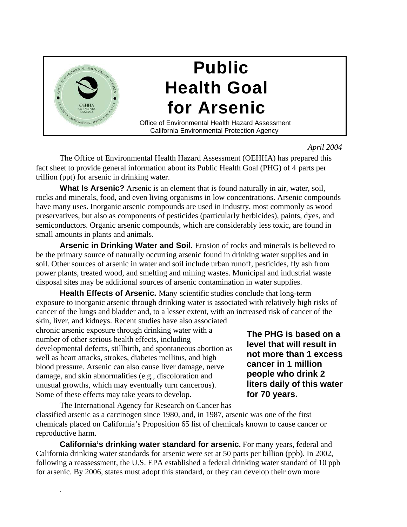

*April 2004* 

The Office of Environmental Health Hazard Assessment (OEHHA) has prepared this fact sheet to provide general information about its Public Health Goal (PHG) of 4 parts per trillion (ppt) for arsenic in drinking water.

**What Is Arsenic?** Arsenic is an element that is found naturally in air, water, soil, rocks and minerals, food, and even living organisms in low concentrations. Arsenic compounds have many uses. Inorganic arsenic compounds are used in industry, most commonly as wood preservatives, but also as components of pesticides (particularly herbicides), paints, dyes, and semiconductors. Organic arsenic compounds, which are considerably less toxic, are found in small amounts in plants and animals.

**Arsenic in Drinking Water and Soil.** Erosion of rocks and minerals is believed to be the primary source of naturally occurring arsenic found in drinking water supplies and in soil. Other sources of arsenic in water and soil include urban runoff, pesticides, fly ash from power plants, treated wood, and smelting and mining wastes. Municipal and industrial waste disposal sites may be additional sources of arsenic contamination in water supplies.

**Health Effects of Arsenic.** Many scientific studies conclude that long-term exposure to inorganic arsenic through drinking water is associated with relatively high risks of cancer of the lungs and bladder and, to a lesser extent, with an increased risk of cancer of the

skin, liver, and kidneys. Recent studies have also associated chronic arsenic exposure through drinking water with a<br>number of other serious health effects, including<br>developmental defects, stillbirth, and spontaneous abortion as<br>well as heart attacks, strokes, diabetes mellitus, and blood pressure. Arsenic can also cause liver damage, nerve **cancer in 1 million** damage, and skin abnormalities (e.g., discoloration and **people who drink 2** unusual growths, which may eventually turn cancerous). **Ifters daily of this water** unusual growths, which may eventually turn cancerous). Some of these effects may take years to develop. **for 70 years.** 

*.*

The International Agency for Research on Cancer has classified arsenic as a carcinogen since 1980, and, in 1987, arsenic was one of the first chemicals placed on California's Proposition 65 list of chemicals known to cause cancer or reproductive harm.

**California's drinking water standard for arsenic.** For many years, federal and California drinking water standards for arsenic were set at 50 parts per billion (ppb). In 2002, following a reassessment, the U.S. EPA established a federal drinking water standard of 10 ppb for arsenic. By 2006, states must adopt this standard, or they can develop their own more